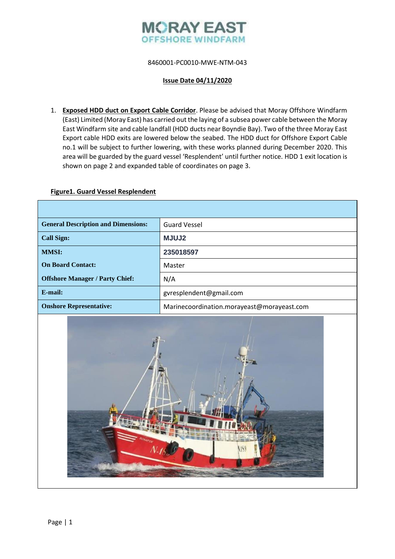

# 8460001-PC0010-MWE-NTM-043

#### **Issue Date 04/11/2020**

1. **Exposed HDD duct on Export Cable Corridor**. Please be advised that Moray Offshore Windfarm (East) Limited (Moray East) has carried out the laying of a subsea power cable between the Moray East Windfarm site and cable landfall (HDD ducts near Boyndie Bay). Two of the three Moray East Export cable HDD exits are lowered below the seabed. The HDD duct for Offshore Export Cable no.1 will be subject to further lowering, with these works planned during December 2020. This area will be guarded by the guard vessel 'Resplendent' until further notice. HDD 1 exit location is shown on page 2 and expanded table of coordinates on page 3.

#### **Figure1. Guard Vessel Resplendent**

| <b>General Description and Dimensions:</b> | <b>Guard Vessel</b>                        |  |  |
|--------------------------------------------|--------------------------------------------|--|--|
| <b>Call Sign:</b>                          | <b>MJUJ2</b>                               |  |  |
| <b>MMSI:</b>                               | 235018597                                  |  |  |
| <b>On Board Contact:</b>                   | Master                                     |  |  |
| <b>Offshore Manager / Party Chief:</b>     | N/A                                        |  |  |
| $E$ -mail:                                 | gyresplendent@gmail.com                    |  |  |
| <b>Onshore Representative:</b>             | Marinecoordination.morayeast@morayeast.com |  |  |
|                                            |                                            |  |  |

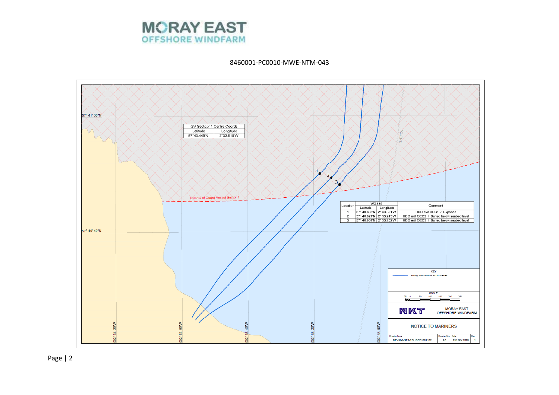

8460001-PC0010-MWE-NTM-043